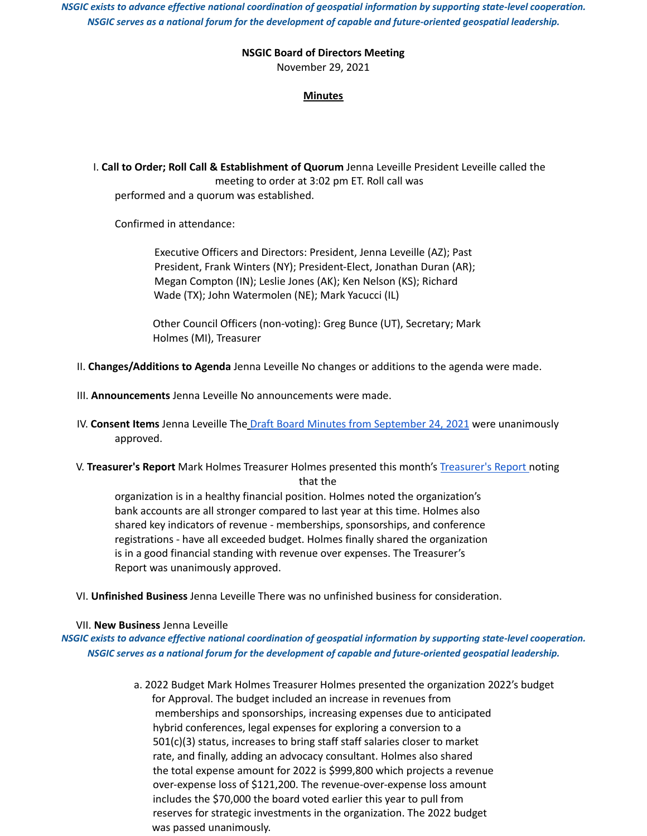*NSGIC exists to advance effective national coordination of geospatial information by supporting state-level cooperation. NSGIC serves as a national forum for the development of capable and future-oriented geospatial leadership.*

## **NSGIC Board of Directors Meeting**

November 29, 2021

## **Minutes**

I. **Call to Order; Roll Call & Establishment of Quorum** Jenna Leveille President Leveille called the meeting to order at 3:02 pm ET. Roll call was performed and a quorum was established.

Confirmed in attendance:

Executive Officers and Directors: President, Jenna Leveille (AZ); Past President, Frank Winters (NY); President-Elect, Jonathan Duran (AR); Megan Compton (IN); Leslie Jones (AK); Ken Nelson (KS); Richard Wade (TX); John Watermolen (NE); Mark Yacucci (IL)

Other Council Officers (non-voting): Greg Bunce (UT), Secretary; Mark Holmes (MI), Treasurer

- II. **Changes/Additions to Agenda** Jenna Leveille No changes or additions to the agenda were made.
- III. **Announcements** Jenna Leveille No announcements were made.
- IV. **Consent Items** Jenna Leveille The Draft Board Minutes from September 24, 2021 were unanimously approved.
- V. **Treasurer's Report** Mark Holmes Treasurer Holmes presented this month's Treasurer's Report noting that the

organization is in a healthy financial position. Holmes noted the organization's bank accounts are all stronger compared to last year at this time. Holmes also shared key indicators of revenue - memberships, sponsorships, and conference registrations - have all exceeded budget. Holmes finally shared the organization is in a good financial standing with revenue over expenses. The Treasurer's Report was unanimously approved.

VI. **Unfinished Business** Jenna Leveille There was no unfinished business for consideration.

## VII. **New Business** Jenna Leveille

*NSGIC exists to advance effective national coordination of geospatial information by supporting state-level cooperation. NSGIC serves as a national forum for the development of capable and future-oriented geospatial leadership.*

> a. 2022 Budget Mark Holmes Treasurer Holmes presented the organization 2022's budget for Approval. The budget included an increase in revenues from memberships and sponsorships, increasing expenses due to anticipated hybrid conferences, legal expenses for exploring a conversion to a 501(c)(3) status, increases to bring staff staff salaries closer to market rate, and finally, adding an advocacy consultant. Holmes also shared the total expense amount for 2022 is \$999,800 which projects a revenue over-expense loss of \$121,200. The revenue-over-expense loss amount includes the \$70,000 the board voted earlier this year to pull from reserves for strategic investments in the organization. The 2022 budget was passed unanimously.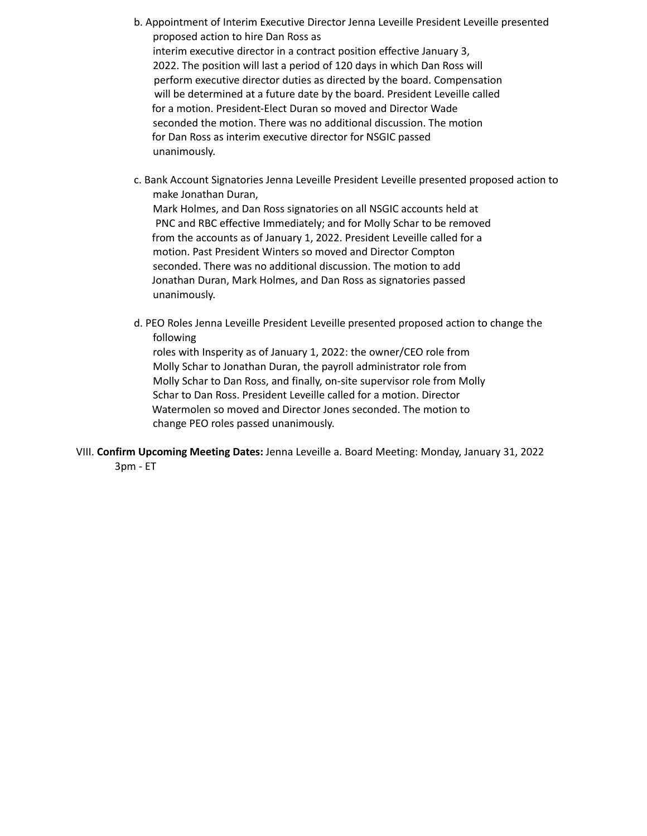- b. Appointment of Interim Executive Director Jenna Leveille President Leveille presented proposed action to hire Dan Ross as interim executive director in a contract position effective January 3, 2022. The position will last a period of 120 days in which Dan Ross will perform executive director duties as directed by the board. Compensation will be determined at a future date by the board. President Leveille called for a motion. President-Elect Duran so moved and Director Wade seconded the motion. There was no additional discussion. The motion for Dan Ross as interim executive director for NSGIC passed unanimously.
- c. Bank Account Signatories Jenna Leveille President Leveille presented proposed action to make Jonathan Duran, Mark Holmes, and Dan Ross signatories on all NSGIC accounts held at PNC and RBC effective Immediately; and for Molly Schar to be removed from the accounts as of January 1, 2022. President Leveille called for a motion. Past President Winters so moved and Director Compton seconded. There was no additional discussion. The motion to add Jonathan Duran, Mark Holmes, and Dan Ross as signatories passed unanimously.
- d. PEO Roles Jenna Leveille President Leveille presented proposed action to change the following

roles with Insperity as of January 1, 2022: the owner/CEO role from Molly Schar to Jonathan Duran, the payroll administrator role from Molly Schar to Dan Ross, and finally, on-site supervisor role from Molly Schar to Dan Ross. President Leveille called for a motion. Director Watermolen so moved and Director Jones seconded. The motion to change PEO roles passed unanimously.

VIII. **Confirm Upcoming Meeting Dates:** Jenna Leveille a. Board Meeting: Monday, January 31, 2022 3pm - ET